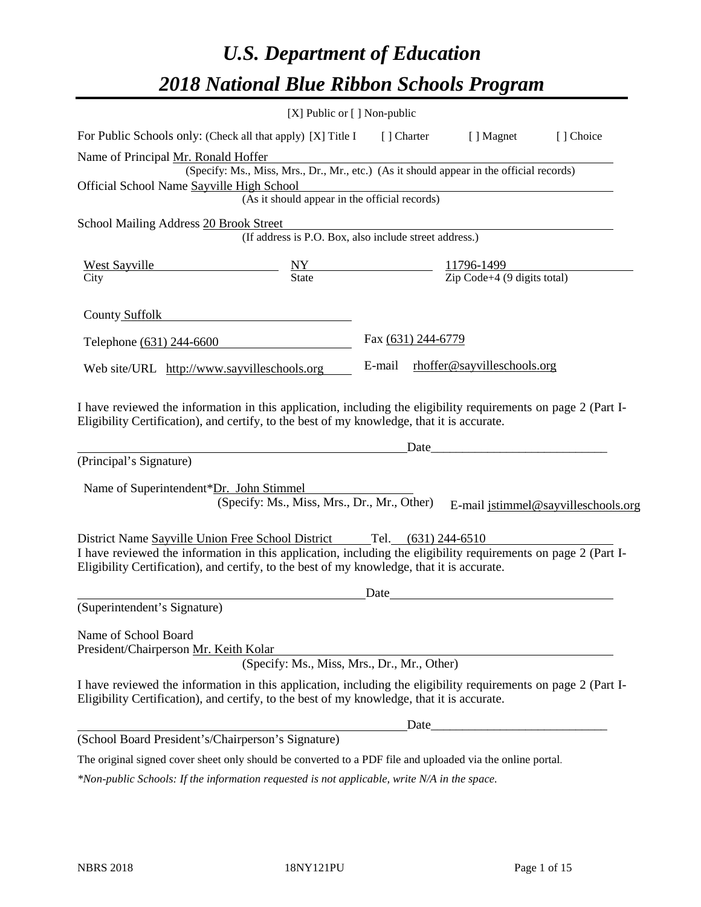# *U.S. Department of Education 2018 National Blue Ribbon Schools Program*

|                                                                                                                                                                                                              | $[X]$ Public or $[ \ ]$ Non-public                                                       |                    |                                                         |                                     |
|--------------------------------------------------------------------------------------------------------------------------------------------------------------------------------------------------------------|------------------------------------------------------------------------------------------|--------------------|---------------------------------------------------------|-------------------------------------|
| For Public Schools only: (Check all that apply) [X] Title I                                                                                                                                                  |                                                                                          | [] Charter         | [ ] Magnet                                              | [] Choice                           |
| Name of Principal Mr. Ronald Hoffer                                                                                                                                                                          |                                                                                          |                    |                                                         |                                     |
|                                                                                                                                                                                                              | (Specify: Ms., Miss, Mrs., Dr., Mr., etc.) (As it should appear in the official records) |                    |                                                         |                                     |
| Official School Name Sayville High School                                                                                                                                                                    | <b>Example 11</b> School<br>(As it should appear in the official records)                |                    |                                                         |                                     |
|                                                                                                                                                                                                              |                                                                                          |                    |                                                         |                                     |
| School Mailing Address 20 Brook Street                                                                                                                                                                       |                                                                                          |                    |                                                         |                                     |
|                                                                                                                                                                                                              | (If address is P.O. Box, also include street address.)                                   |                    |                                                         |                                     |
| West Sayville<br>City State Says and State                                                                                                                                                                   |                                                                                          |                    |                                                         |                                     |
| City                                                                                                                                                                                                         |                                                                                          |                    | $\frac{11796-1499}{\text{Zip Code}+4 (9 digits total)}$ |                                     |
| County Suffolk                                                                                                                                                                                               |                                                                                          |                    |                                                         |                                     |
| Telephone (631) 244-6600                                                                                                                                                                                     |                                                                                          | Fax (631) 244-6779 |                                                         |                                     |
| Web site/URL http://www.sayvilleschools.org                                                                                                                                                                  |                                                                                          | E-mail             | rhoffer@sayvilleschools.org                             |                                     |
| (Principal's Signature)<br>Name of Superintendent*Dr. John Stimmel                                                                                                                                           |                                                                                          | Date               |                                                         |                                     |
|                                                                                                                                                                                                              | (Specify: Ms., Miss, Mrs., Dr., Mr., Other)                                              |                    |                                                         | E-mail jstimmel@sayvilleschools.org |
| District Name Sayville Union Free School District Tel. (631) 244-6510                                                                                                                                        |                                                                                          |                    |                                                         |                                     |
| I have reviewed the information in this application, including the eligibility requirements on page 2 (Part I-<br>Eligibility Certification), and certify, to the best of my knowledge, that it is accurate. |                                                                                          |                    |                                                         |                                     |
|                                                                                                                                                                                                              |                                                                                          | Date               |                                                         |                                     |
| (Superintendent's Signature)                                                                                                                                                                                 |                                                                                          |                    |                                                         |                                     |
| Name of School Board<br>President/Chairperson Mr. Keith Kolar                                                                                                                                                | (Specify: Ms., Miss, Mrs., Dr., Mr., Other)                                              |                    |                                                         |                                     |
| I have reviewed the information in this application, including the eligibility requirements on page 2 (Part I-<br>Eligibility Certification), and certify, to the best of my knowledge, that it is accurate. |                                                                                          |                    |                                                         |                                     |
|                                                                                                                                                                                                              |                                                                                          |                    |                                                         |                                     |
| (School Board President's/Chairperson's Signature)                                                                                                                                                           |                                                                                          |                    |                                                         |                                     |
| The original signed cover sheet only should be converted to a PDF file and uploaded via the online portal.                                                                                                   |                                                                                          |                    |                                                         |                                     |

*\*Non-public Schools: If the information requested is not applicable, write N/A in the space.*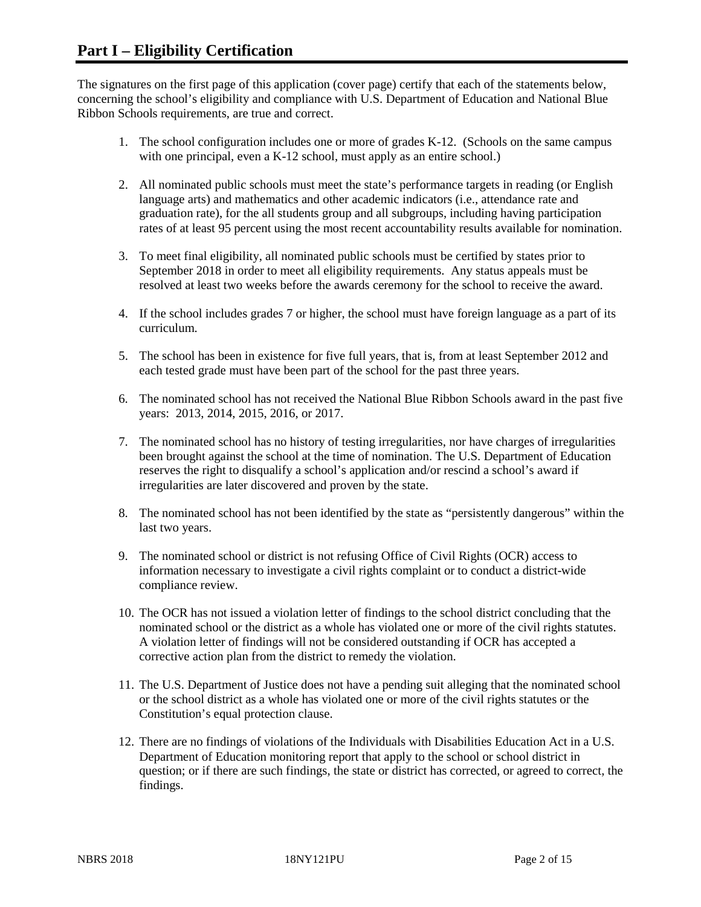The signatures on the first page of this application (cover page) certify that each of the statements below, concerning the school's eligibility and compliance with U.S. Department of Education and National Blue Ribbon Schools requirements, are true and correct.

- 1. The school configuration includes one or more of grades K-12. (Schools on the same campus with one principal, even a K-12 school, must apply as an entire school.)
- 2. All nominated public schools must meet the state's performance targets in reading (or English language arts) and mathematics and other academic indicators (i.e., attendance rate and graduation rate), for the all students group and all subgroups, including having participation rates of at least 95 percent using the most recent accountability results available for nomination.
- 3. To meet final eligibility, all nominated public schools must be certified by states prior to September 2018 in order to meet all eligibility requirements. Any status appeals must be resolved at least two weeks before the awards ceremony for the school to receive the award.
- 4. If the school includes grades 7 or higher, the school must have foreign language as a part of its curriculum.
- 5. The school has been in existence for five full years, that is, from at least September 2012 and each tested grade must have been part of the school for the past three years.
- 6. The nominated school has not received the National Blue Ribbon Schools award in the past five years: 2013, 2014, 2015, 2016, or 2017.
- 7. The nominated school has no history of testing irregularities, nor have charges of irregularities been brought against the school at the time of nomination. The U.S. Department of Education reserves the right to disqualify a school's application and/or rescind a school's award if irregularities are later discovered and proven by the state.
- 8. The nominated school has not been identified by the state as "persistently dangerous" within the last two years.
- 9. The nominated school or district is not refusing Office of Civil Rights (OCR) access to information necessary to investigate a civil rights complaint or to conduct a district-wide compliance review.
- 10. The OCR has not issued a violation letter of findings to the school district concluding that the nominated school or the district as a whole has violated one or more of the civil rights statutes. A violation letter of findings will not be considered outstanding if OCR has accepted a corrective action plan from the district to remedy the violation.
- 11. The U.S. Department of Justice does not have a pending suit alleging that the nominated school or the school district as a whole has violated one or more of the civil rights statutes or the Constitution's equal protection clause.
- 12. There are no findings of violations of the Individuals with Disabilities Education Act in a U.S. Department of Education monitoring report that apply to the school or school district in question; or if there are such findings, the state or district has corrected, or agreed to correct, the findings.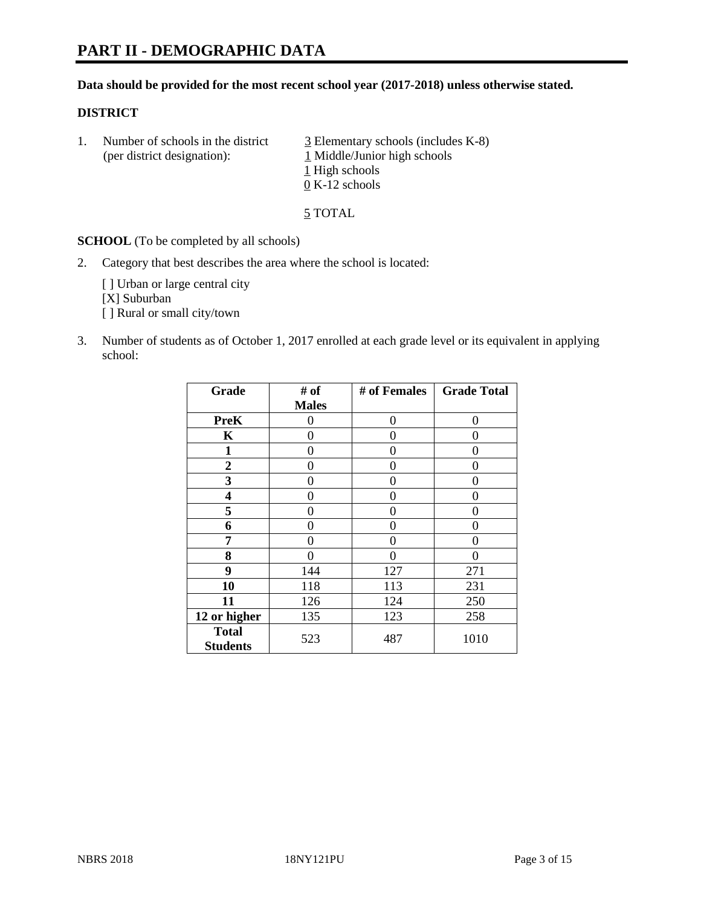# **PART II - DEMOGRAPHIC DATA**

#### **Data should be provided for the most recent school year (2017-2018) unless otherwise stated.**

#### **DISTRICT**

1. Number of schools in the district  $\frac{3}{2}$  Elementary schools (includes K-8) (per district designation): 1 Middle/Junior high schools 1 High schools 0 K-12 schools

5 TOTAL

**SCHOOL** (To be completed by all schools)

2. Category that best describes the area where the school is located:

[] Urban or large central city [X] Suburban [] Rural or small city/town

3. Number of students as of October 1, 2017 enrolled at each grade level or its equivalent in applying school:

| Grade                           | # of         | # of Females | <b>Grade Total</b> |
|---------------------------------|--------------|--------------|--------------------|
|                                 | <b>Males</b> |              |                    |
| <b>PreK</b>                     | 0            | $\theta$     | 0                  |
| K                               | 0            | 0            | 0                  |
| $\mathbf{1}$                    | 0            | 0            | 0                  |
| 2                               | 0            | 0            | 0                  |
| 3                               | 0            | 0            | $\theta$           |
| 4                               | 0            | 0            | 0                  |
| 5                               | 0            | 0            | 0                  |
| 6                               | 0            | 0            | 0                  |
| 7                               | 0            | 0            | 0                  |
| 8                               | 0            | 0            | 0                  |
| 9                               | 144          | 127          | 271                |
| 10                              | 118          | 113          | 231                |
| 11                              | 126          | 124          | 250                |
| 12 or higher                    | 135          | 123          | 258                |
| <b>Total</b><br><b>Students</b> | 523          | 487          | 1010               |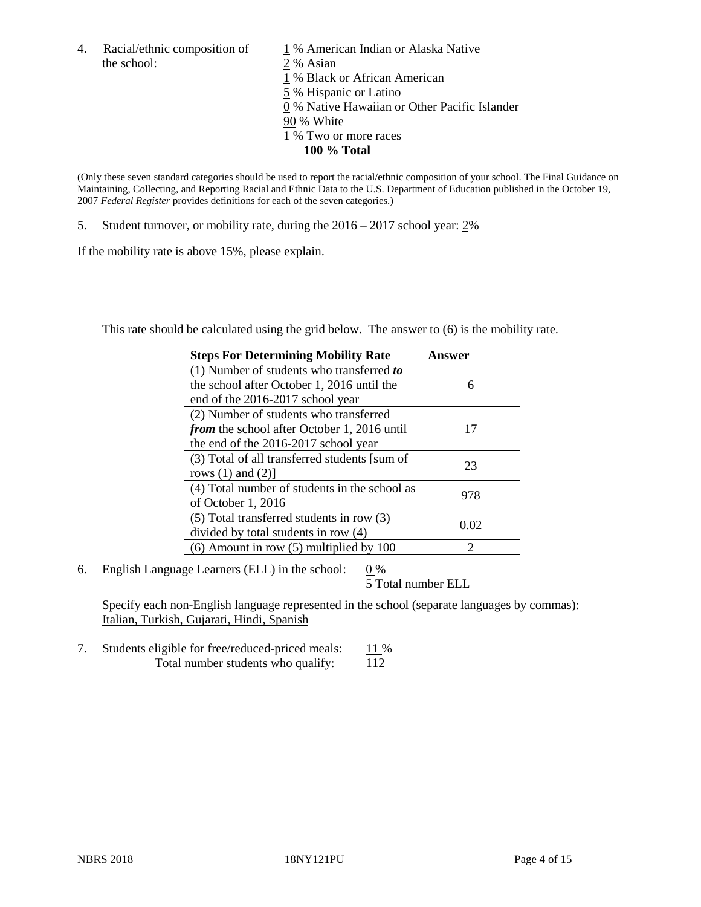4. Racial/ethnic composition of  $1\%$  American Indian or Alaska Native the school: 2 % Asian

 % Black or African American % Hispanic or Latino % Native Hawaiian or Other Pacific Islander 90 % White % Two or more races **100 % Total**

(Only these seven standard categories should be used to report the racial/ethnic composition of your school. The Final Guidance on Maintaining, Collecting, and Reporting Racial and Ethnic Data to the U.S. Department of Education published in the October 19, 2007 *Federal Register* provides definitions for each of the seven categories.)

5. Student turnover, or mobility rate, during the 2016 – 2017 school year: 2%

If the mobility rate is above 15%, please explain.

This rate should be calculated using the grid below. The answer to (6) is the mobility rate.

| <b>Steps For Determining Mobility Rate</b>         | Answer        |
|----------------------------------------------------|---------------|
| $(1)$ Number of students who transferred to        |               |
| the school after October 1, 2016 until the         | 6             |
| end of the 2016-2017 school year                   |               |
| (2) Number of students who transferred             |               |
| <i>from</i> the school after October 1, 2016 until | 17            |
| the end of the 2016-2017 school year               |               |
| (3) Total of all transferred students [sum of      | 23            |
| rows $(1)$ and $(2)$ ]                             |               |
| (4) Total number of students in the school as      |               |
| of October 1, 2016                                 | 978           |
| (5) Total transferred students in row (3)          |               |
| divided by total students in row (4)               | 0.02          |
| $(6)$ Amount in row $(5)$ multiplied by 100        | $\mathcal{D}$ |

6. English Language Learners (ELL) in the school:  $0\%$ 

5 Total number ELL

Specify each non-English language represented in the school (separate languages by commas): Italian, Turkish, Gujarati, Hindi, Spanish

7. Students eligible for free/reduced-priced meals: 11 % Total number students who qualify:  $112$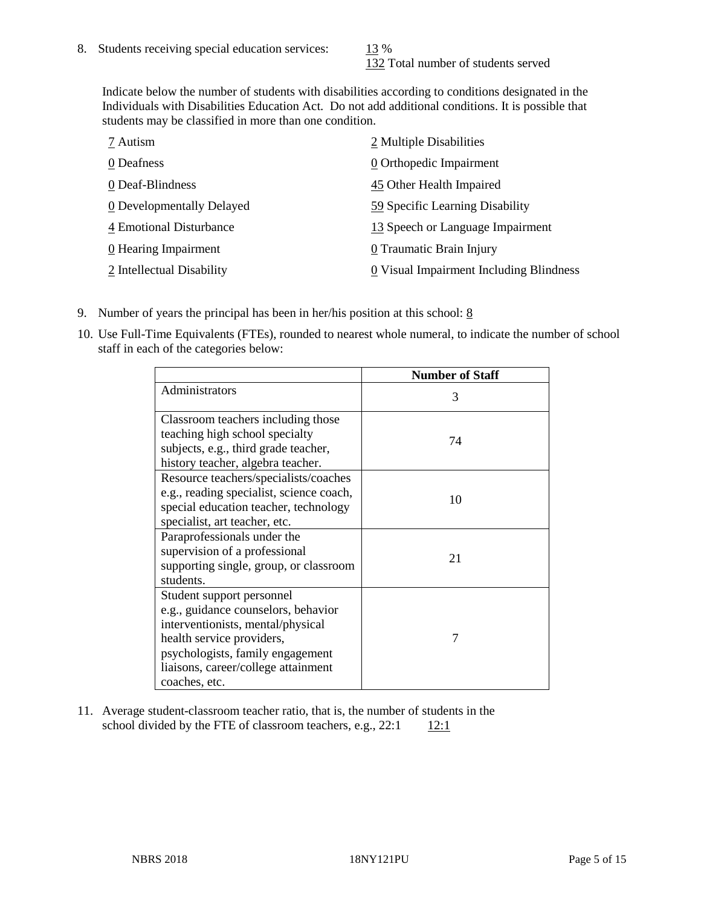132 Total number of students served

Indicate below the number of students with disabilities according to conditions designated in the Individuals with Disabilities Education Act. Do not add additional conditions. It is possible that students may be classified in more than one condition.

| 7 Autism                  | 2 Multiple Disabilities                 |
|---------------------------|-----------------------------------------|
| 0 Deafness                | 0 Orthopedic Impairment                 |
| 0 Deaf-Blindness          | 45 Other Health Impaired                |
| 0 Developmentally Delayed | 59 Specific Learning Disability         |
| 4 Emotional Disturbance   | 13 Speech or Language Impairment        |
| 0 Hearing Impairment      | 0 Traumatic Brain Injury                |
| 2 Intellectual Disability | 0 Visual Impairment Including Blindness |

- 9. Number of years the principal has been in her/his position at this school:  $8$
- 10. Use Full-Time Equivalents (FTEs), rounded to nearest whole numeral, to indicate the number of school staff in each of the categories below:

|                                                                                                                                                                                                                                | <b>Number of Staff</b> |
|--------------------------------------------------------------------------------------------------------------------------------------------------------------------------------------------------------------------------------|------------------------|
| Administrators                                                                                                                                                                                                                 | 3                      |
| Classroom teachers including those<br>teaching high school specialty<br>subjects, e.g., third grade teacher,<br>history teacher, algebra teacher.                                                                              | 74                     |
| Resource teachers/specialists/coaches<br>e.g., reading specialist, science coach,<br>special education teacher, technology<br>specialist, art teacher, etc.                                                                    | 10                     |
| Paraprofessionals under the<br>supervision of a professional<br>supporting single, group, or classroom<br>students.                                                                                                            | 21                     |
| Student support personnel<br>e.g., guidance counselors, behavior<br>interventionists, mental/physical<br>health service providers,<br>psychologists, family engagement<br>liaisons, career/college attainment<br>coaches, etc. | 7                      |

11. Average student-classroom teacher ratio, that is, the number of students in the school divided by the FTE of classroom teachers, e.g.,  $22:1$  12:1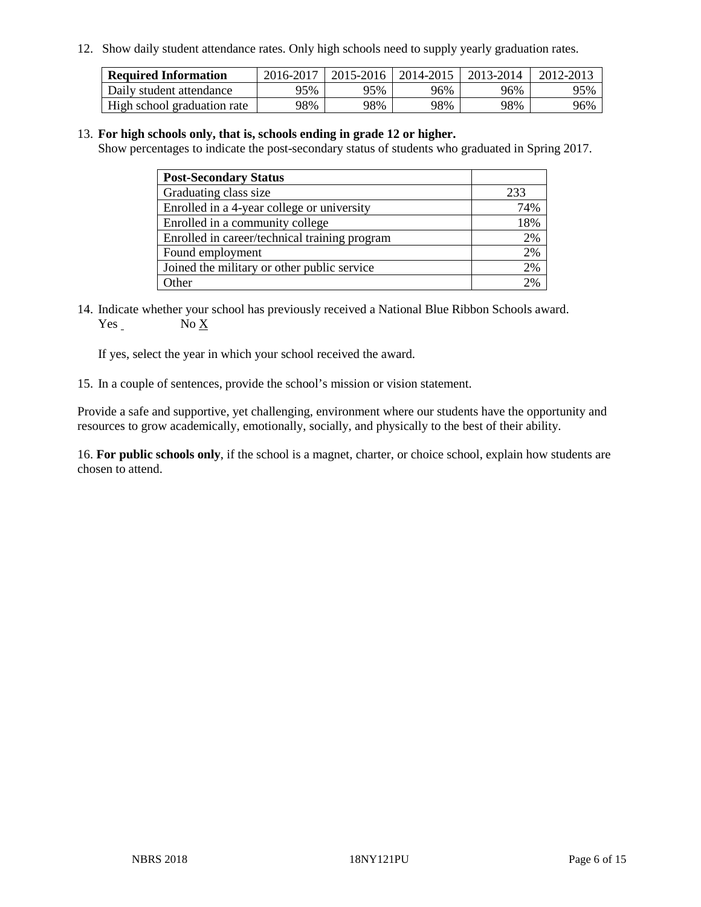12. Show daily student attendance rates. Only high schools need to supply yearly graduation rates.

| <b>Required Information</b> | 2016-2017 | 2015-2016 | 2014-2015 | 2013-2014 | 2012-2013 |
|-----------------------------|-----------|-----------|-----------|-----------|-----------|
| Daily student attendance    | 95%       | 95%       | 96%       | 96%       | 95%       |
| High school graduation rate | 98%       | 98%       | 98%       | 98%       | 96%       |

#### 13. **For high schools only, that is, schools ending in grade 12 or higher.**

Show percentages to indicate the post-secondary status of students who graduated in Spring 2017.

| <b>Post-Secondary Status</b>                  |                 |
|-----------------------------------------------|-----------------|
| Graduating class size                         | 233             |
| Enrolled in a 4-year college or university    | 74%             |
| Enrolled in a community college               | 18%             |
| Enrolled in career/technical training program | 2%              |
| Found employment                              | 2%              |
| Joined the military or other public service   | 2%              |
| Other                                         | 20 <sub>6</sub> |

14. Indicate whether your school has previously received a National Blue Ribbon Schools award. Yes No X

If yes, select the year in which your school received the award.

15. In a couple of sentences, provide the school's mission or vision statement.

Provide a safe and supportive, yet challenging, environment where our students have the opportunity and resources to grow academically, emotionally, socially, and physically to the best of their ability.

16. **For public schools only**, if the school is a magnet, charter, or choice school, explain how students are chosen to attend.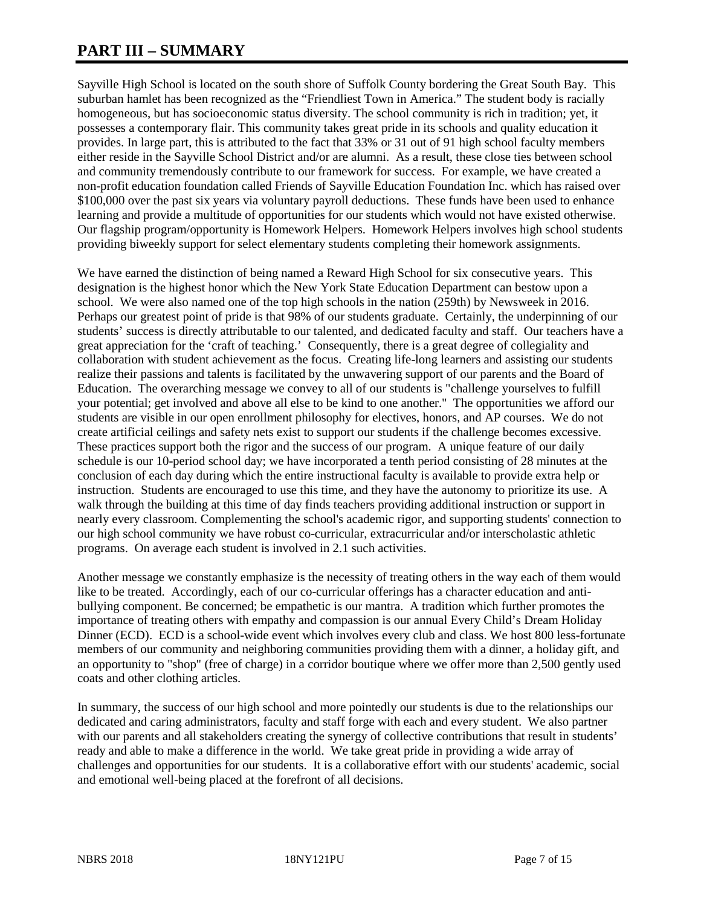# **PART III – SUMMARY**

Sayville High School is located on the south shore of Suffolk County bordering the Great South Bay. This suburban hamlet has been recognized as the "Friendliest Town in America." The student body is racially homogeneous, but has socioeconomic status diversity. The school community is rich in tradition; yet, it possesses a contemporary flair. This community takes great pride in its schools and quality education it provides. In large part, this is attributed to the fact that 33% or 31 out of 91 high school faculty members either reside in the Sayville School District and/or are alumni. As a result, these close ties between school and community tremendously contribute to our framework for success. For example, we have created a non-profit education foundation called Friends of Sayville Education Foundation Inc. which has raised over \$100,000 over the past six years via voluntary payroll deductions. These funds have been used to enhance learning and provide a multitude of opportunities for our students which would not have existed otherwise. Our flagship program/opportunity is Homework Helpers. Homework Helpers involves high school students providing biweekly support for select elementary students completing their homework assignments.

We have earned the distinction of being named a Reward High School for six consecutive years. This designation is the highest honor which the New York State Education Department can bestow upon a school. We were also named one of the top high schools in the nation (259th) by Newsweek in 2016. Perhaps our greatest point of pride is that 98% of our students graduate. Certainly, the underpinning of our students' success is directly attributable to our talented, and dedicated faculty and staff. Our teachers have a great appreciation for the 'craft of teaching.' Consequently, there is a great degree of collegiality and collaboration with student achievement as the focus. Creating life-long learners and assisting our students realize their passions and talents is facilitated by the unwavering support of our parents and the Board of Education. The overarching message we convey to all of our students is "challenge yourselves to fulfill your potential; get involved and above all else to be kind to one another." The opportunities we afford our students are visible in our open enrollment philosophy for electives, honors, and AP courses. We do not create artificial ceilings and safety nets exist to support our students if the challenge becomes excessive. These practices support both the rigor and the success of our program. A unique feature of our daily schedule is our 10-period school day; we have incorporated a tenth period consisting of 28 minutes at the conclusion of each day during which the entire instructional faculty is available to provide extra help or instruction. Students are encouraged to use this time, and they have the autonomy to prioritize its use. A walk through the building at this time of day finds teachers providing additional instruction or support in nearly every classroom. Complementing the school's academic rigor, and supporting students' connection to our high school community we have robust co-curricular, extracurricular and/or interscholastic athletic programs. On average each student is involved in 2.1 such activities.

Another message we constantly emphasize is the necessity of treating others in the way each of them would like to be treated. Accordingly, each of our co-curricular offerings has a character education and antibullying component. Be concerned; be empathetic is our mantra. A tradition which further promotes the importance of treating others with empathy and compassion is our annual Every Child's Dream Holiday Dinner (ECD). ECD is a school-wide event which involves every club and class. We host 800 less-fortunate members of our community and neighboring communities providing them with a dinner, a holiday gift, and an opportunity to "shop" (free of charge) in a corridor boutique where we offer more than 2,500 gently used coats and other clothing articles.

In summary, the success of our high school and more pointedly our students is due to the relationships our dedicated and caring administrators, faculty and staff forge with each and every student. We also partner with our parents and all stakeholders creating the synergy of collective contributions that result in students' ready and able to make a difference in the world. We take great pride in providing a wide array of challenges and opportunities for our students. It is a collaborative effort with our students' academic, social and emotional well-being placed at the forefront of all decisions.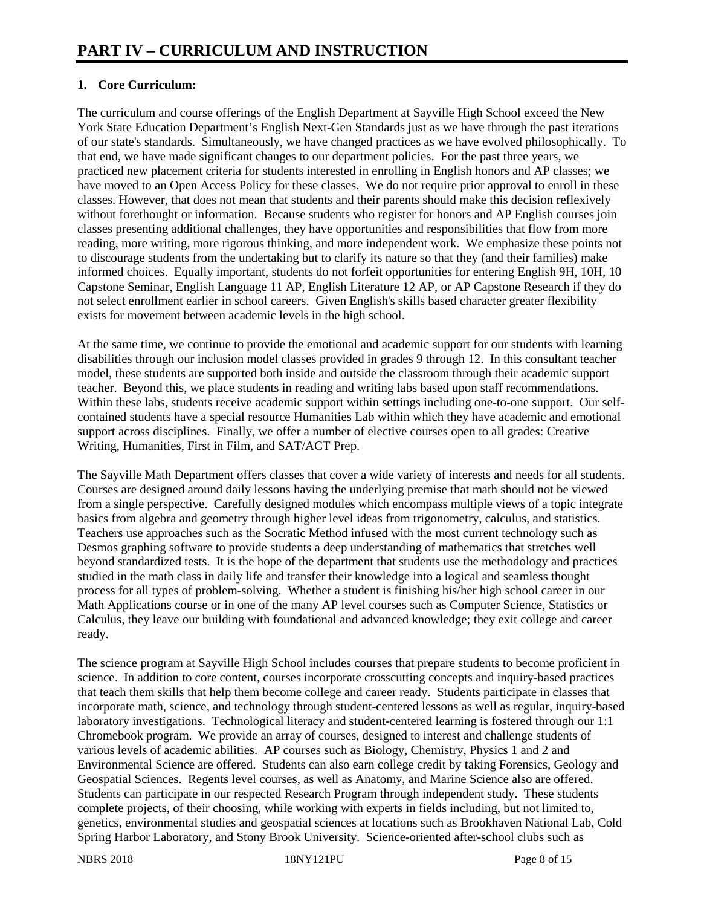## **1. Core Curriculum:**

The curriculum and course offerings of the English Department at Sayville High School exceed the New York State Education Department's English Next-Gen Standards just as we have through the past iterations of our state's standards. Simultaneously, we have changed practices as we have evolved philosophically. To that end, we have made significant changes to our department policies. For the past three years, we practiced new placement criteria for students interested in enrolling in English honors and AP classes; we have moved to an Open Access Policy for these classes. We do not require prior approval to enroll in these classes. However, that does not mean that students and their parents should make this decision reflexively without forethought or information. Because students who register for honors and AP English courses join classes presenting additional challenges, they have opportunities and responsibilities that flow from more reading, more writing, more rigorous thinking, and more independent work. We emphasize these points not to discourage students from the undertaking but to clarify its nature so that they (and their families) make informed choices. Equally important, students do not forfeit opportunities for entering English 9H, 10H, 10 Capstone Seminar, English Language 11 AP, English Literature 12 AP, or AP Capstone Research if they do not select enrollment earlier in school careers. Given English's skills based character greater flexibility exists for movement between academic levels in the high school.

At the same time, we continue to provide the emotional and academic support for our students with learning disabilities through our inclusion model classes provided in grades 9 through 12. In this consultant teacher model, these students are supported both inside and outside the classroom through their academic support teacher. Beyond this, we place students in reading and writing labs based upon staff recommendations. Within these labs, students receive academic support within settings including one-to-one support. Our selfcontained students have a special resource Humanities Lab within which they have academic and emotional support across disciplines. Finally, we offer a number of elective courses open to all grades: Creative Writing, Humanities, First in Film, and SAT/ACT Prep.

The Sayville Math Department offers classes that cover a wide variety of interests and needs for all students. Courses are designed around daily lessons having the underlying premise that math should not be viewed from a single perspective. Carefully designed modules which encompass multiple views of a topic integrate basics from algebra and geometry through higher level ideas from trigonometry, calculus, and statistics. Teachers use approaches such as the Socratic Method infused with the most current technology such as Desmos graphing software to provide students a deep understanding of mathematics that stretches well beyond standardized tests. It is the hope of the department that students use the methodology and practices studied in the math class in daily life and transfer their knowledge into a logical and seamless thought process for all types of problem-solving. Whether a student is finishing his/her high school career in our Math Applications course or in one of the many AP level courses such as Computer Science, Statistics or Calculus, they leave our building with foundational and advanced knowledge; they exit college and career ready.

The science program at Sayville High School includes courses that prepare students to become proficient in science. In addition to core content, courses incorporate crosscutting concepts and inquiry-based practices that teach them skills that help them become college and career ready. Students participate in classes that incorporate math, science, and technology through student-centered lessons as well as regular, inquiry-based laboratory investigations. Technological literacy and student-centered learning is fostered through our 1:1 Chromebook program. We provide an array of courses, designed to interest and challenge students of various levels of academic abilities. AP courses such as Biology, Chemistry, Physics 1 and 2 and Environmental Science are offered. Students can also earn college credit by taking Forensics, Geology and Geospatial Sciences. Regents level courses, as well as Anatomy, and Marine Science also are offered. Students can participate in our respected Research Program through independent study. These students complete projects, of their choosing, while working with experts in fields including, but not limited to, genetics, environmental studies and geospatial sciences at locations such as Brookhaven National Lab, Cold Spring Harbor Laboratory, and Stony Brook University. Science-oriented after-school clubs such as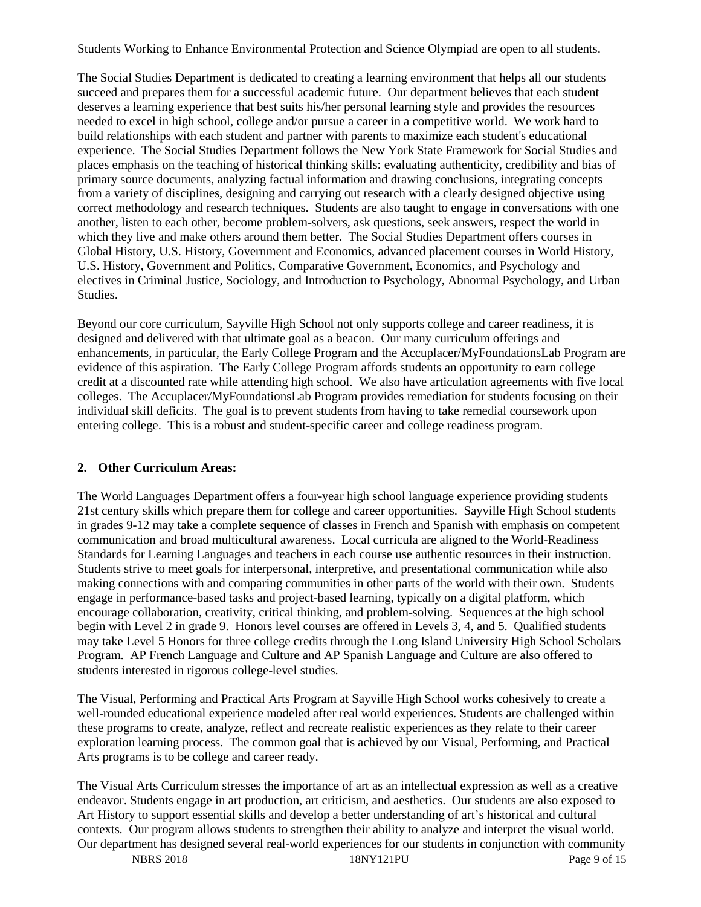Students Working to Enhance Environmental Protection and Science Olympiad are open to all students.

The Social Studies Department is dedicated to creating a learning environment that helps all our students succeed and prepares them for a successful academic future. Our department believes that each student deserves a learning experience that best suits his/her personal learning style and provides the resources needed to excel in high school, college and/or pursue a career in a competitive world. We work hard to build relationships with each student and partner with parents to maximize each student's educational experience. The Social Studies Department follows the New York State Framework for Social Studies and places emphasis on the teaching of historical thinking skills: evaluating authenticity, credibility and bias of primary source documents, analyzing factual information and drawing conclusions, integrating concepts from a variety of disciplines, designing and carrying out research with a clearly designed objective using correct methodology and research techniques. Students are also taught to engage in conversations with one another, listen to each other, become problem-solvers, ask questions, seek answers, respect the world in which they live and make others around them better. The Social Studies Department offers courses in Global History, U.S. History, Government and Economics, advanced placement courses in World History, U.S. History, Government and Politics, Comparative Government, Economics, and Psychology and electives in Criminal Justice, Sociology, and Introduction to Psychology, Abnormal Psychology, and Urban Studies.

Beyond our core curriculum, Sayville High School not only supports college and career readiness, it is designed and delivered with that ultimate goal as a beacon. Our many curriculum offerings and enhancements, in particular, the Early College Program and the Accuplacer/MyFoundationsLab Program are evidence of this aspiration. The Early College Program affords students an opportunity to earn college credit at a discounted rate while attending high school. We also have articulation agreements with five local colleges. The Accuplacer/MyFoundationsLab Program provides remediation for students focusing on their individual skill deficits. The goal is to prevent students from having to take remedial coursework upon entering college. This is a robust and student-specific career and college readiness program.

#### **2. Other Curriculum Areas:**

The World Languages Department offers a four-year high school language experience providing students 21st century skills which prepare them for college and career opportunities. Sayville High School students in grades 9-12 may take a complete sequence of classes in French and Spanish with emphasis on competent communication and broad multicultural awareness. Local curricula are aligned to the World-Readiness Standards for Learning Languages and teachers in each course use authentic resources in their instruction. Students strive to meet goals for interpersonal, interpretive, and presentational communication while also making connections with and comparing communities in other parts of the world with their own. Students engage in performance-based tasks and project-based learning, typically on a digital platform, which encourage collaboration, creativity, critical thinking, and problem-solving. Sequences at the high school begin with Level 2 in grade 9. Honors level courses are offered in Levels 3, 4, and 5. Qualified students may take Level 5 Honors for three college credits through the Long Island University High School Scholars Program. AP French Language and Culture and AP Spanish Language and Culture are also offered to students interested in rigorous college-level studies.

The Visual, Performing and Practical Arts Program at Sayville High School works cohesively to create a well-rounded educational experience modeled after real world experiences. Students are challenged within these programs to create, analyze, reflect and recreate realistic experiences as they relate to their career exploration learning process. The common goal that is achieved by our Visual, Performing, and Practical Arts programs is to be college and career ready.

The Visual Arts Curriculum stresses the importance of art as an intellectual expression as well as a creative endeavor. Students engage in art production, art criticism, and aesthetics. Our students are also exposed to Art History to support essential skills and develop a better understanding of art's historical and cultural contexts. Our program allows students to strengthen their ability to analyze and interpret the visual world. Our department has designed several real-world experiences for our students in conjunction with community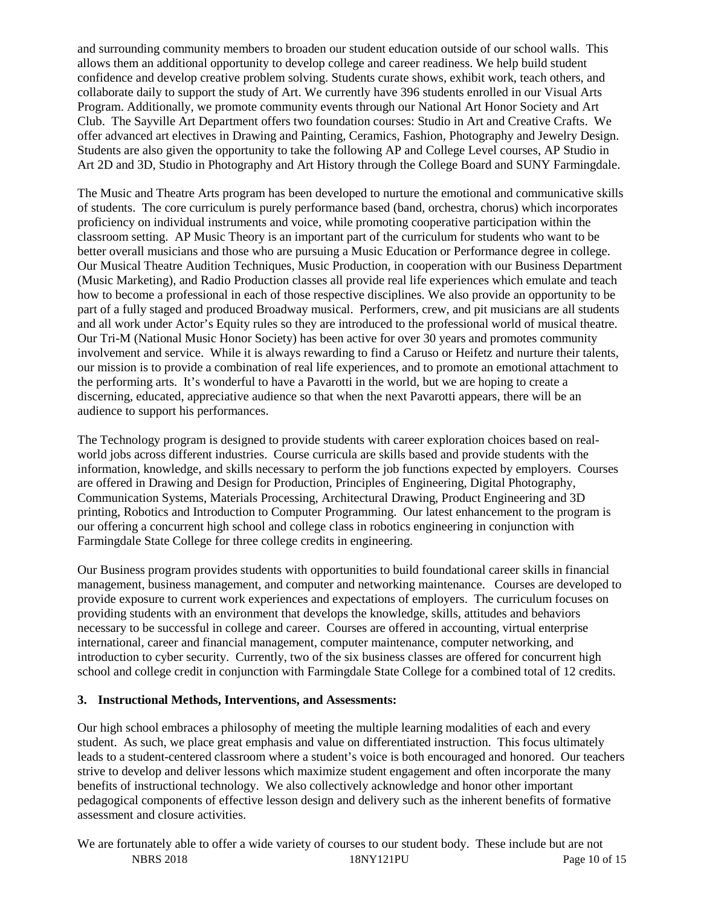and surrounding community members to broaden our student education outside of our school walls. This allows them an additional opportunity to develop college and career readiness. We help build student confidence and develop creative problem solving. Students curate shows, exhibit work, teach others, and collaborate daily to support the study of Art. We currently have 396 students enrolled in our Visual Arts Program. Additionally, we promote community events through our National Art Honor Society and Art Club. The Sayville Art Department offers two foundation courses: Studio in Art and Creative Crafts. We offer advanced art electives in Drawing and Painting, Ceramics, Fashion, Photography and Jewelry Design. Students are also given the opportunity to take the following AP and College Level courses, AP Studio in Art 2D and 3D, Studio in Photography and Art History through the College Board and SUNY Farmingdale.

The Music and Theatre Arts program has been developed to nurture the emotional and communicative skills of students. The core curriculum is purely performance based (band, orchestra, chorus) which incorporates proficiency on individual instruments and voice, while promoting cooperative participation within the classroom setting. AP Music Theory is an important part of the curriculum for students who want to be better overall musicians and those who are pursuing a Music Education or Performance degree in college. Our Musical Theatre Audition Techniques, Music Production, in cooperation with our Business Department (Music Marketing), and Radio Production classes all provide real life experiences which emulate and teach how to become a professional in each of those respective disciplines. We also provide an opportunity to be part of a fully staged and produced Broadway musical. Performers, crew, and pit musicians are all students and all work under Actor's Equity rules so they are introduced to the professional world of musical theatre. Our Tri-M (National Music Honor Society) has been active for over 30 years and promotes community involvement and service. While it is always rewarding to find a Caruso or Heifetz and nurture their talents, our mission is to provide a combination of real life experiences, and to promote an emotional attachment to the performing arts. It's wonderful to have a Pavarotti in the world, but we are hoping to create a discerning, educated, appreciative audience so that when the next Pavarotti appears, there will be an audience to support his performances.

The Technology program is designed to provide students with career exploration choices based on realworld jobs across different industries. Course curricula are skills based and provide students with the information, knowledge, and skills necessary to perform the job functions expected by employers. Courses are offered in Drawing and Design for Production, Principles of Engineering, Digital Photography, Communication Systems, Materials Processing, Architectural Drawing, Product Engineering and 3D printing, Robotics and Introduction to Computer Programming. Our latest enhancement to the program is our offering a concurrent high school and college class in robotics engineering in conjunction with Farmingdale State College for three college credits in engineering.

Our Business program provides students with opportunities to build foundational career skills in financial management, business management, and computer and networking maintenance. Courses are developed to provide exposure to current work experiences and expectations of employers. The curriculum focuses on providing students with an environment that develops the knowledge, skills, attitudes and behaviors necessary to be successful in college and career. Courses are offered in accounting, virtual enterprise international, career and financial management, computer maintenance, computer networking, and introduction to cyber security. Currently, two of the six business classes are offered for concurrent high school and college credit in conjunction with Farmingdale State College for a combined total of 12 credits.

#### **3. Instructional Methods, Interventions, and Assessments:**

Our high school embraces a philosophy of meeting the multiple learning modalities of each and every student. As such, we place great emphasis and value on differentiated instruction. This focus ultimately leads to a student-centered classroom where a student's voice is both encouraged and honored. Our teachers strive to develop and deliver lessons which maximize student engagement and often incorporate the many benefits of instructional technology. We also collectively acknowledge and honor other important pedagogical components of effective lesson design and delivery such as the inherent benefits of formative assessment and closure activities.

NBRS 2018 18NY121PU Page 10 of 15 We are fortunately able to offer a wide variety of courses to our student body. These include but are not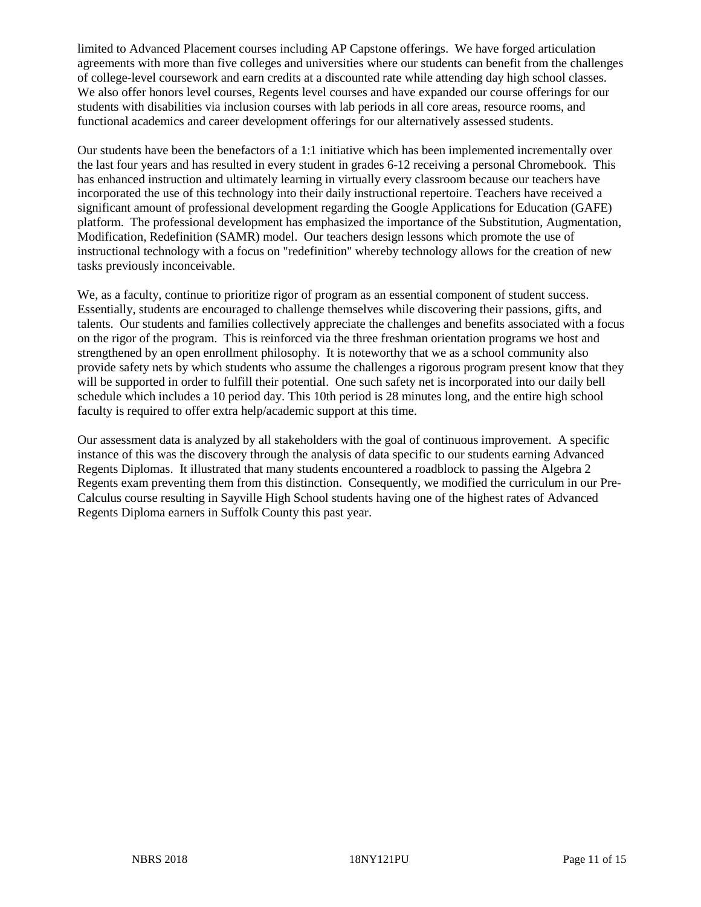limited to Advanced Placement courses including AP Capstone offerings. We have forged articulation agreements with more than five colleges and universities where our students can benefit from the challenges of college-level coursework and earn credits at a discounted rate while attending day high school classes. We also offer honors level courses, Regents level courses and have expanded our course offerings for our students with disabilities via inclusion courses with lab periods in all core areas, resource rooms, and functional academics and career development offerings for our alternatively assessed students.

Our students have been the benefactors of a 1:1 initiative which has been implemented incrementally over the last four years and has resulted in every student in grades 6-12 receiving a personal Chromebook. This has enhanced instruction and ultimately learning in virtually every classroom because our teachers have incorporated the use of this technology into their daily instructional repertoire. Teachers have received a significant amount of professional development regarding the Google Applications for Education (GAFE) platform. The professional development has emphasized the importance of the Substitution, Augmentation, Modification, Redefinition (SAMR) model. Our teachers design lessons which promote the use of instructional technology with a focus on "redefinition" whereby technology allows for the creation of new tasks previously inconceivable.

We, as a faculty, continue to prioritize rigor of program as an essential component of student success. Essentially, students are encouraged to challenge themselves while discovering their passions, gifts, and talents. Our students and families collectively appreciate the challenges and benefits associated with a focus on the rigor of the program. This is reinforced via the three freshman orientation programs we host and strengthened by an open enrollment philosophy. It is noteworthy that we as a school community also provide safety nets by which students who assume the challenges a rigorous program present know that they will be supported in order to fulfill their potential. One such safety net is incorporated into our daily bell schedule which includes a 10 period day. This 10th period is 28 minutes long, and the entire high school faculty is required to offer extra help/academic support at this time.

Our assessment data is analyzed by all stakeholders with the goal of continuous improvement. A specific instance of this was the discovery through the analysis of data specific to our students earning Advanced Regents Diplomas. It illustrated that many students encountered a roadblock to passing the Algebra 2 Regents exam preventing them from this distinction. Consequently, we modified the curriculum in our Pre-Calculus course resulting in Sayville High School students having one of the highest rates of Advanced Regents Diploma earners in Suffolk County this past year.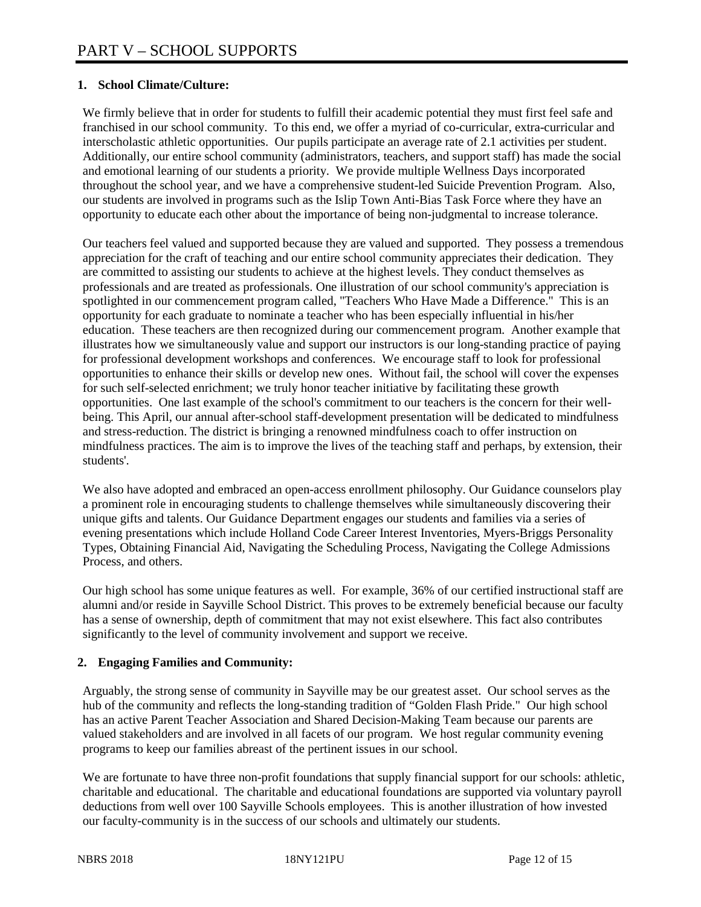## **1. School Climate/Culture:**

We firmly believe that in order for students to fulfill their academic potential they must first feel safe and franchised in our school community. To this end, we offer a myriad of co-curricular, extra-curricular and interscholastic athletic opportunities. Our pupils participate an average rate of 2.1 activities per student. Additionally, our entire school community (administrators, teachers, and support staff) has made the social and emotional learning of our students a priority. We provide multiple Wellness Days incorporated throughout the school year, and we have a comprehensive student-led Suicide Prevention Program. Also, our students are involved in programs such as the Islip Town Anti-Bias Task Force where they have an opportunity to educate each other about the importance of being non-judgmental to increase tolerance.

Our teachers feel valued and supported because they are valued and supported. They possess a tremendous appreciation for the craft of teaching and our entire school community appreciates their dedication. They are committed to assisting our students to achieve at the highest levels. They conduct themselves as professionals and are treated as professionals. One illustration of our school community's appreciation is spotlighted in our commencement program called, "Teachers Who Have Made a Difference." This is an opportunity for each graduate to nominate a teacher who has been especially influential in his/her education. These teachers are then recognized during our commencement program. Another example that illustrates how we simultaneously value and support our instructors is our long-standing practice of paying for professional development workshops and conferences. We encourage staff to look for professional opportunities to enhance their skills or develop new ones. Without fail, the school will cover the expenses for such self-selected enrichment; we truly honor teacher initiative by facilitating these growth opportunities. One last example of the school's commitment to our teachers is the concern for their wellbeing. This April, our annual after-school staff-development presentation will be dedicated to mindfulness and stress-reduction. The district is bringing a renowned mindfulness coach to offer instruction on mindfulness practices. The aim is to improve the lives of the teaching staff and perhaps, by extension, their students'.

We also have adopted and embraced an open-access enrollment philosophy. Our Guidance counselors play a prominent role in encouraging students to challenge themselves while simultaneously discovering their unique gifts and talents. Our Guidance Department engages our students and families via a series of evening presentations which include Holland Code Career Interest Inventories, Myers-Briggs Personality Types, Obtaining Financial Aid, Navigating the Scheduling Process, Navigating the College Admissions Process, and others.

Our high school has some unique features as well. For example, 36% of our certified instructional staff are alumni and/or reside in Sayville School District. This proves to be extremely beneficial because our faculty has a sense of ownership, depth of commitment that may not exist elsewhere. This fact also contributes significantly to the level of community involvement and support we receive.

## **2. Engaging Families and Community:**

Arguably, the strong sense of community in Sayville may be our greatest asset. Our school serves as the hub of the community and reflects the long-standing tradition of "Golden Flash Pride." Our high school has an active Parent Teacher Association and Shared Decision-Making Team because our parents are valued stakeholders and are involved in all facets of our program. We host regular community evening programs to keep our families abreast of the pertinent issues in our school.

We are fortunate to have three non-profit foundations that supply financial support for our schools: athletic, charitable and educational. The charitable and educational foundations are supported via voluntary payroll deductions from well over 100 Sayville Schools employees. This is another illustration of how invested our faculty-community is in the success of our schools and ultimately our students.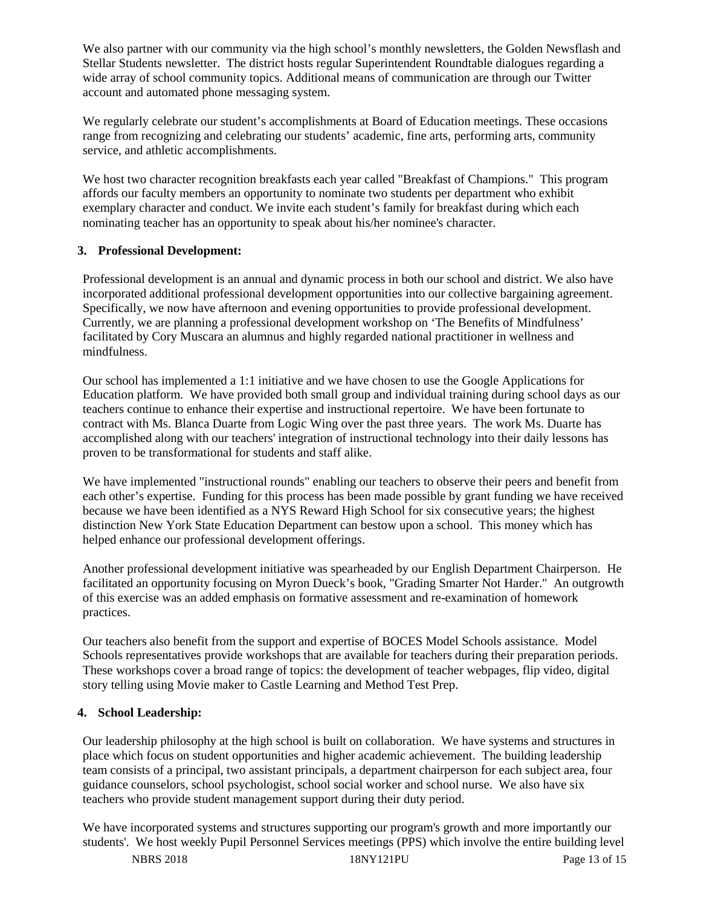We also partner with our community via the high school's monthly newsletters, the Golden Newsflash and Stellar Students newsletter. The district hosts regular Superintendent Roundtable dialogues regarding a wide array of school community topics. Additional means of communication are through our Twitter account and automated phone messaging system.

We regularly celebrate our student's accomplishments at Board of Education meetings. These occasions range from recognizing and celebrating our students' academic, fine arts, performing arts, community service, and athletic accomplishments.

We host two character recognition breakfasts each year called "Breakfast of Champions." This program affords our faculty members an opportunity to nominate two students per department who exhibit exemplary character and conduct. We invite each student's family for breakfast during which each nominating teacher has an opportunity to speak about his/her nominee's character.

#### **3. Professional Development:**

Professional development is an annual and dynamic process in both our school and district. We also have incorporated additional professional development opportunities into our collective bargaining agreement. Specifically, we now have afternoon and evening opportunities to provide professional development. Currently, we are planning a professional development workshop on 'The Benefits of Mindfulness' facilitated by Cory Muscara an alumnus and highly regarded national practitioner in wellness and mindfulness.

Our school has implemented a 1:1 initiative and we have chosen to use the Google Applications for Education platform. We have provided both small group and individual training during school days as our teachers continue to enhance their expertise and instructional repertoire. We have been fortunate to contract with Ms. Blanca Duarte from Logic Wing over the past three years. The work Ms. Duarte has accomplished along with our teachers' integration of instructional technology into their daily lessons has proven to be transformational for students and staff alike.

We have implemented "instructional rounds" enabling our teachers to observe their peers and benefit from each other's expertise. Funding for this process has been made possible by grant funding we have received because we have been identified as a NYS Reward High School for six consecutive years; the highest distinction New York State Education Department can bestow upon a school. This money which has helped enhance our professional development offerings.

Another professional development initiative was spearheaded by our English Department Chairperson. He facilitated an opportunity focusing on Myron Dueck's book, "Grading Smarter Not Harder." An outgrowth of this exercise was an added emphasis on formative assessment and re-examination of homework practices.

Our teachers also benefit from the support and expertise of BOCES Model Schools assistance. Model Schools representatives provide workshops that are available for teachers during their preparation periods. These workshops cover a broad range of topics: the development of teacher webpages, flip video, digital story telling using Movie maker to Castle Learning and Method Test Prep.

## **4. School Leadership:**

Our leadership philosophy at the high school is built on collaboration. We have systems and structures in place which focus on student opportunities and higher academic achievement. The building leadership team consists of a principal, two assistant principals, a department chairperson for each subject area, four guidance counselors, school psychologist, school social worker and school nurse. We also have six teachers who provide student management support during their duty period.

We have incorporated systems and structures supporting our program's growth and more importantly our students'. We host weekly Pupil Personnel Services meetings (PPS) which involve the entire building level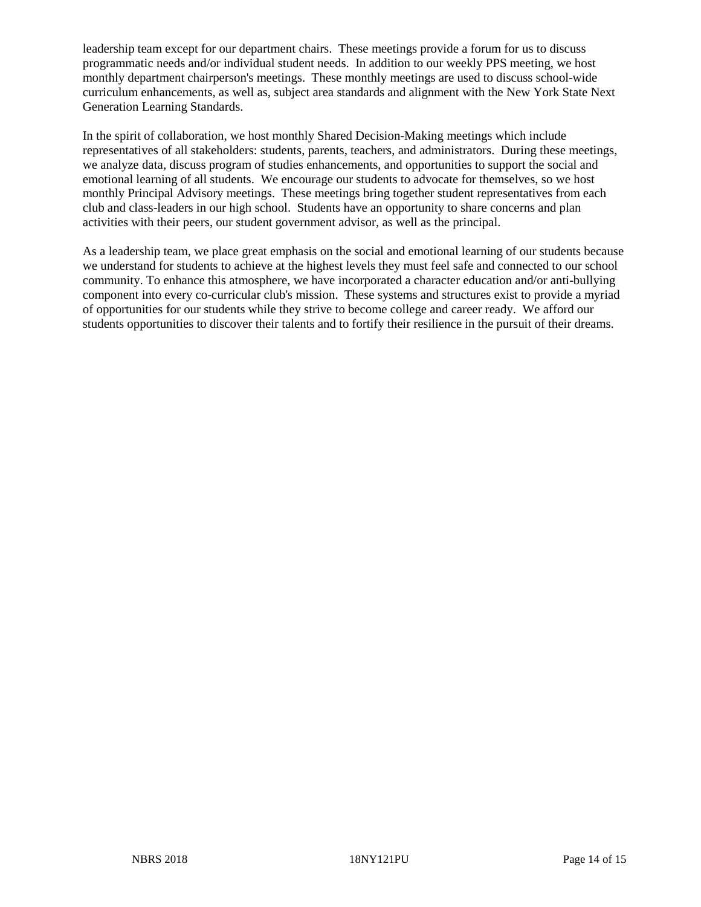leadership team except for our department chairs. These meetings provide a forum for us to discuss programmatic needs and/or individual student needs. In addition to our weekly PPS meeting, we host monthly department chairperson's meetings. These monthly meetings are used to discuss school-wide curriculum enhancements, as well as, subject area standards and alignment with the New York State Next Generation Learning Standards.

In the spirit of collaboration, we host monthly Shared Decision-Making meetings which include representatives of all stakeholders: students, parents, teachers, and administrators. During these meetings, we analyze data, discuss program of studies enhancements, and opportunities to support the social and emotional learning of all students. We encourage our students to advocate for themselves, so we host monthly Principal Advisory meetings. These meetings bring together student representatives from each club and class-leaders in our high school. Students have an opportunity to share concerns and plan activities with their peers, our student government advisor, as well as the principal.

As a leadership team, we place great emphasis on the social and emotional learning of our students because we understand for students to achieve at the highest levels they must feel safe and connected to our school community. To enhance this atmosphere, we have incorporated a character education and/or anti-bullying component into every co-curricular club's mission. These systems and structures exist to provide a myriad of opportunities for our students while they strive to become college and career ready. We afford our students opportunities to discover their talents and to fortify their resilience in the pursuit of their dreams.